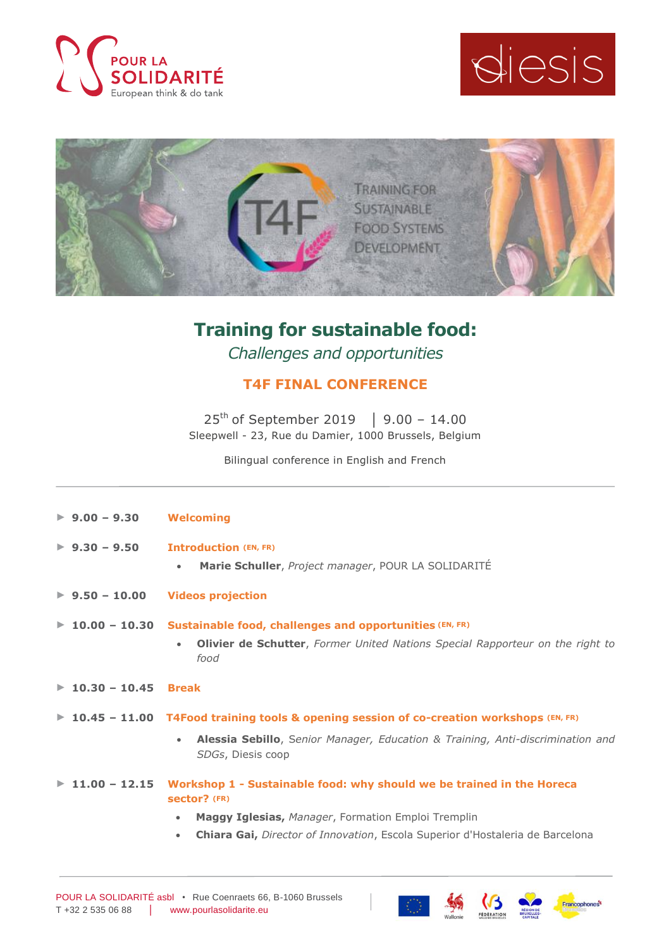





## **Training for sustainable food:**

*Challenges and opportunities*

## **T4F FINAL CONFERENCE**

25<sup>th</sup> of September 2019 | 9.00 − 14.00 Sleepwell - 23, Rue du Damier, 1000 Brussels, Belgium

Bilingual conference in English and French

| $\blacktriangleright$ 9.00 - 9.30   | <b>Welcoming</b>                                                                                           |
|-------------------------------------|------------------------------------------------------------------------------------------------------------|
| $\blacktriangleright$ 9.30 - 9.50   | <b>Introduction (EN, FR)</b>                                                                               |
|                                     | Marie Schuller, Project manager, POUR LA SOLIDARITÉ<br>$\bullet$                                           |
| $\blacktriangleright$ 9.50 - 10.00  | <b>Videos projection</b>                                                                                   |
| $\blacktriangleright$ 10.00 - 10.30 | Sustainable food, challenges and opportunities (EN, FR)                                                    |
|                                     | <b>Olivier de Schutter</b> , Former United Nations Special Rapporteur on the right to<br>$\bullet$<br>food |
| $\blacktriangleright$ 10.30 - 10.45 | <b>Break</b>                                                                                               |
|                                     | ▶ 10.45 - 11.00 T4Food training tools & opening session of co-creation workshops $(EN, FR)$                |
|                                     | Alessia Sebillo, Senior Manager, Education & Training, Anti-discrimination and<br>٠<br>SDGs, Diesis coop   |
| $11.00 - 12.15$                     | Workshop 1 - Sustainable food: why should we be trained in the Horeca<br>sector? (FR)                      |
|                                     | Maggy Iglesias, Manager, Formation Emploi Tremplin<br>$\bullet$                                            |
|                                     | Chiara Gai, Director of Innovation, Escola Superior d'Hostaleria de Barcelona<br>$\bullet$                 |